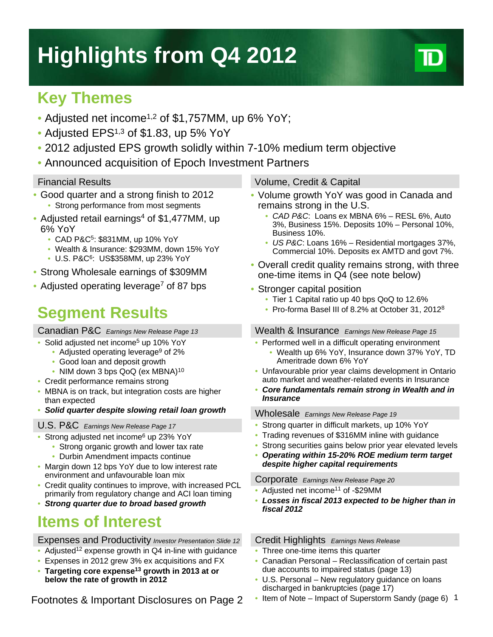# **Highlights from Q4 2012**

### **Key Themes**

- Adjusted net income<sup>1,2</sup> of \$1,757MM, up 6% YoY;
- Adjusted EPS<sup>1,3</sup> of \$1.83, up 5% YoY
- 2012 adjusted EPS growth solidly within 7-10% medium term objective
- Announced acquisition of Epoch Investment Partners

- Good quarter and a strong finish to 2012
	- Strong performance from most segments
- Adjusted retail earnings<sup>4</sup> of \$1,477MM, up 6% YoY
	- CAD P&C5: \$831MM, up 10% YoY
	- Wealth & Insurance: \$293MM, down 15% YoY
	- U.S. P&C6: US\$358MM, up 23% YoY
- Strong Wholesale earnings of \$309MM
- Adjusted operating leverage<sup>7</sup> of 87 bps

## **Segment Results**

#### Canadian P&C *Earnings New Release Page 13*

- Solid adjusted net income<sup>5</sup> up 10% YoY
	- Adjusted operating leverage<sup>9</sup> of 2%
	- Good loan and deposit growth
	- NIM down 3 bps QoQ (ex MBNA)<sup>10</sup>
- Credit performance remains strong
- MBNA is on track, but integration costs are higher than expected
- *Solid quarter despite slowing retail loan growth*

#### U.S. P&C *Earnings New Release Page 17*

- Strong adjusted net income<sup>6</sup> up 23% YoY
	- Strong organic growth and lower tax rate
	- Durbin Amendment impacts continue
- Margin down 12 bps YoY due to low interest rate environment and unfavourable loan mix
- Credit quality continues to improve, with increased PCL primarily from regulatory change and ACI loan timing
- *Strong quarter due to broad based growth*

### **Items of Interest**

#### Expenses and Productivity *Investor Presentation Slide 12*

- Adjusted<sup>12</sup> expense growth in  $Q4$  in-line with guidance
- Expenses in 2012 grew 3% ex acquisitions and FX
- **Targeting core expense13 growth in 2013 at or below the rate of growth in 2012**

Footnotes & Important Disclosures on Page 2

#### Financial Results Volume, Credit & Capital

- Volume growth YoY was good in Canada and remains strong in the U.S.
	- *CAD P&C*: Loans ex MBNA 6% RESL 6%, Auto 3%, Business 15%. Deposits 10% – Personal 10%, Business 10%.
	- *US P&C*: Loans 16% Residential mortgages 37%, Commercial 10%. Deposits ex AMTD and govt 7%.
- Overall credit quality remains strong, with three one-time items in Q4 (see note below)
- Stronger capital position
	- Tier 1 Capital ratio up 40 bps QoQ to 12.6%
	- Pro-forma Basel III of 8.2% at October 31, 2012<sup>8</sup>

#### Wealth & Insurance *Earnings New Release Page 15*

- Performed well in a difficult operating environment
	- Wealth up 6% YoY, Insurance down 37% YoY, TD Ameritrade down 6% YoY
- Unfavourable prior year claims development in Ontario auto market and weather-related events in Insurance
- *Core fundamentals remain strong in Wealth and in Insurance*

#### Wholesale *Earnings New Release Page 19*

- Strong quarter in difficult markets, up 10% YoY
- Trading revenues of \$316MM inline with guidance
- Strong securities gains below prior year elevated levels
- *Operating within 15-20% ROE medium term target despite higher capital requirements*

#### Corporate *Earnings New Release Page 20*

- Adjusted net income<sup>11</sup> of -\$29MM
- *Losses in fiscal 2013 expected to be higher than in fiscal 2012*

### Credit Highlights *Earnings News Release*

- Three one-time items this quarter
- Canadian Personal Reclassification of certain past due accounts to impaired status (page 13)
- U.S. Personal New regulatory guidance on loans discharged in bankruptcies (page 17)
- Item of Note Impact of Superstorm Sandy (page 6) 1